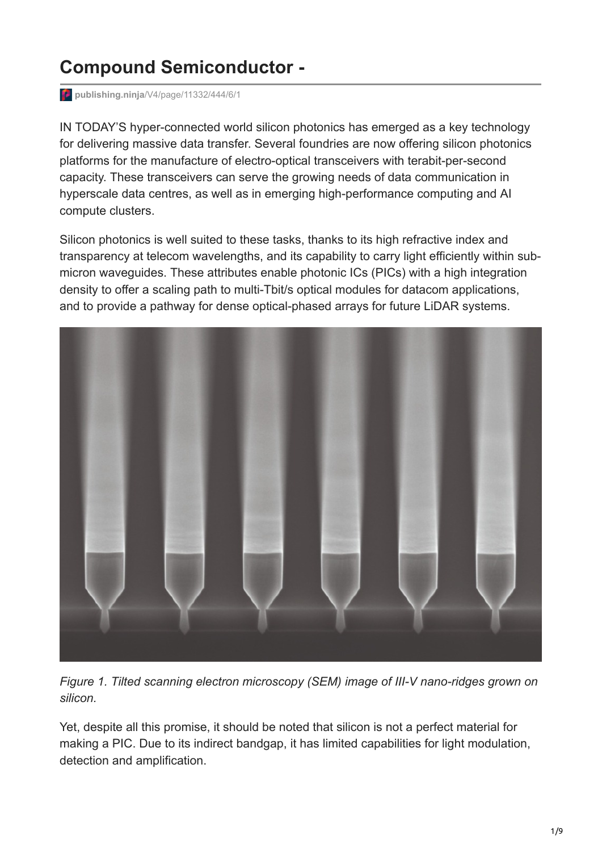## **Compound Semiconductor -**

**publishing.ninja**[/V4/page/11332/444/6/1](https://www.publishing.ninja/V4/page/11332/444/6/1)

IN TODAY'S hyper-connected world silicon photonics has emerged as a key technology for delivering massive data transfer. Several foundries are now offering silicon photonics platforms for the manufacture of electro-optical transceivers with terabit-per-second capacity. These transceivers can serve the growing needs of data communication in hyperscale data centres, as well as in emerging high-performance computing and AI compute clusters.

Silicon photonics is well suited to these tasks, thanks to its high refractive index and transparency at telecom wavelengths, and its capability to carry light efficiently within submicron waveguides. These attributes enable photonic ICs (PICs) with a high integration density to offer a scaling path to multi-Tbit/s optical modules for datacom applications, and to provide a pathway for dense optical-phased arrays for future LiDAR systems.



*Figure 1. Tilted scanning electron microscopy (SEM) image of III-V nano-ridges grown on silicon.*

Yet, despite all this promise, it should be noted that silicon is not a perfect material for making a PIC. Due to its indirect bandgap, it has limited capabilities for light modulation, detection and amplification.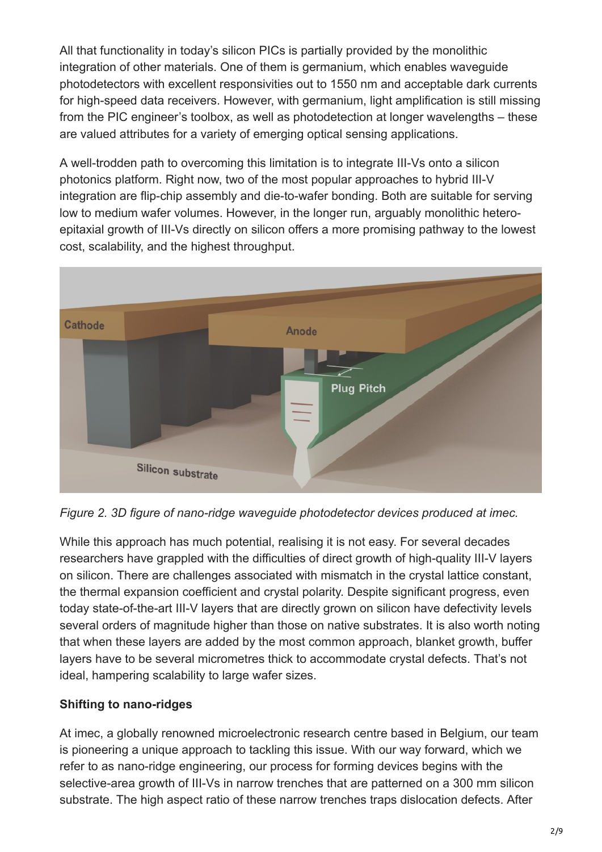All that functionality in today's silicon PICs is partially provided by the monolithic integration of other materials. One of them is germanium, which enables waveguide photodetectors with excellent responsivities out to 1550 nm and acceptable dark currents for high-speed data receivers. However, with germanium, light amplification is still missing from the PIC engineer's toolbox, as well as photodetection at longer wavelengths – these are valued attributes for a variety of emerging optical sensing applications.

A well-trodden path to overcoming this limitation is to integrate III-Vs onto a silicon photonics platform. Right now, two of the most popular approaches to hybrid III-V integration are flip-chip assembly and die-to-wafer bonding. Both are suitable for serving low to medium wafer volumes. However, in the longer run, arguably monolithic heteroepitaxial growth of III-Vs directly on silicon offers a more promising pathway to the lowest cost, scalability, and the highest throughput.



*Figure 2. 3D figure of nano-ridge waveguide photodetector devices produced at imec.*

While this approach has much potential, realising it is not easy. For several decades researchers have grappled with the difficulties of direct growth of high-quality III-V layers on silicon. There are challenges associated with mismatch in the crystal lattice constant, the thermal expansion coefficient and crystal polarity. Despite significant progress, even today state-of-the-art III-V layers that are directly grown on silicon have defectivity levels several orders of magnitude higher than those on native substrates. It is also worth noting that when these layers are added by the most common approach, blanket growth, buffer layers have to be several micrometres thick to accommodate crystal defects. That's not ideal, hampering scalability to large wafer sizes.

## **Shifting to nano-ridges**

At imec, a globally renowned microelectronic research centre based in Belgium, our team is pioneering a unique approach to tackling this issue. With our way forward, which we refer to as nano-ridge engineering, our process for forming devices begins with the selective-area growth of III-Vs in narrow trenches that are patterned on a 300 mm silicon substrate. The high aspect ratio of these narrow trenches traps dislocation defects. After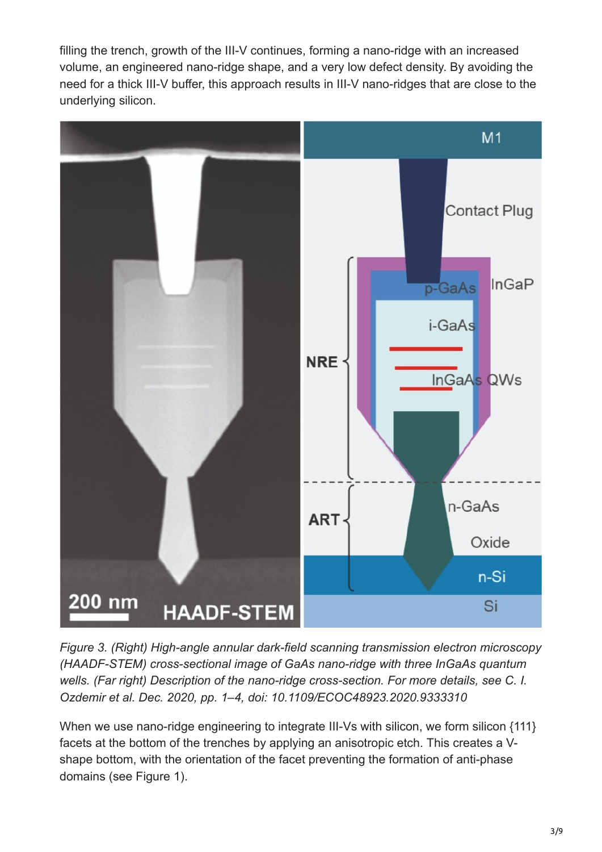filling the trench, growth of the III-V continues, forming a nano-ridge with an increased volume, an engineered nano-ridge shape, and a very low defect density. By avoiding the need for a thick III-V buffer, this approach results in III-V nano-ridges that are close to the underlying silicon.



*Figure 3. (Right) High-angle annular dark-field scanning transmission electron microscopy (HAADF-STEM) cross-sectional image of GaAs nano-ridge with three InGaAs quantum wells. (Far right) Description of the nano-ridge cross-section. For more details, see C. I. Ozdemir et al. Dec. 2020, pp. 1–4, doi: 10.1109/ECOC48923.2020.9333310*

When we use nano-ridge engineering to integrate III-Vs with silicon, we form silicon {111} facets at the bottom of the trenches by applying an anisotropic etch. This creates a Vshape bottom, with the orientation of the facet preventing the formation of anti-phase domains (see Figure 1).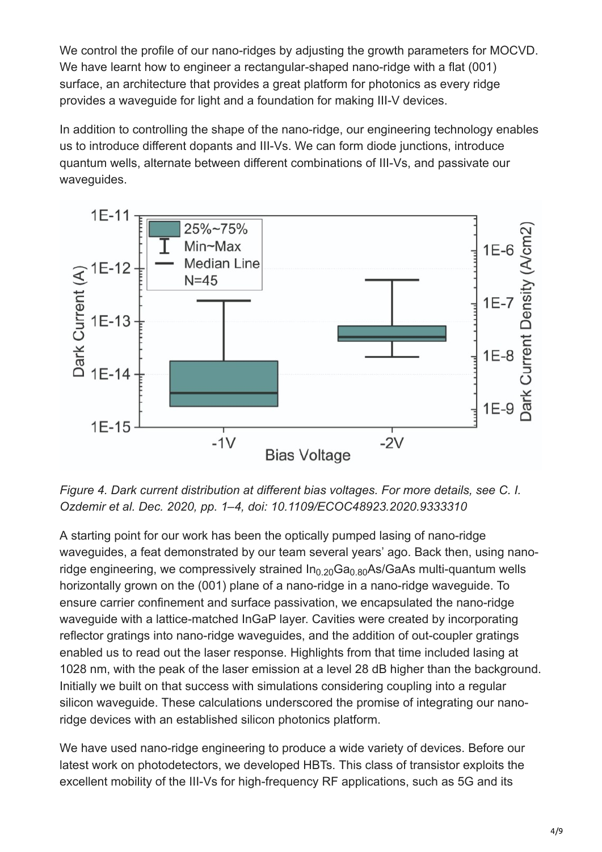We control the profile of our nano-ridges by adjusting the growth parameters for MOCVD. We have learnt how to engineer a rectangular-shaped nano-ridge with a flat (001) surface, an architecture that provides a great platform for photonics as every ridge provides a waveguide for light and a foundation for making III-V devices.

In addition to controlling the shape of the nano-ridge, our engineering technology enables us to introduce different dopants and III-Vs. We can form diode junctions, introduce quantum wells, alternate between different combinations of III-Vs, and passivate our waveguides.



*Figure 4. Dark current distribution at different bias voltages. For more details, see C. I. Ozdemir et al. Dec. 2020, pp. 1–4, doi: 10.1109/ECOC48923.2020.9333310*

A starting point for our work has been the optically pumped lasing of nano-ridge waveguides, a feat demonstrated by our team several years' ago. Back then, using nanoridge engineering, we compressively strained In $_{0.20}$ Ga $_{0.80}$ As/GaAs multi-quantum wells horizontally grown on the (001) plane of a nano-ridge in a nano-ridge waveguide. To ensure carrier confinement and surface passivation, we encapsulated the nano-ridge waveguide with a lattice-matched InGaP layer. Cavities were created by incorporating reflector gratings into nano-ridge waveguides, and the addition of out-coupler gratings enabled us to read out the laser response. Highlights from that time included lasing at 1028 nm, with the peak of the laser emission at a level 28 dB higher than the background. Initially we built on that success with simulations considering coupling into a regular silicon waveguide. These calculations underscored the promise of integrating our nanoridge devices with an established silicon photonics platform.

We have used nano-ridge engineering to produce a wide variety of devices. Before our latest work on photodetectors, we developed HBTs. This class of transistor exploits the excellent mobility of the III-Vs for high-frequency RF applications, such as 5G and its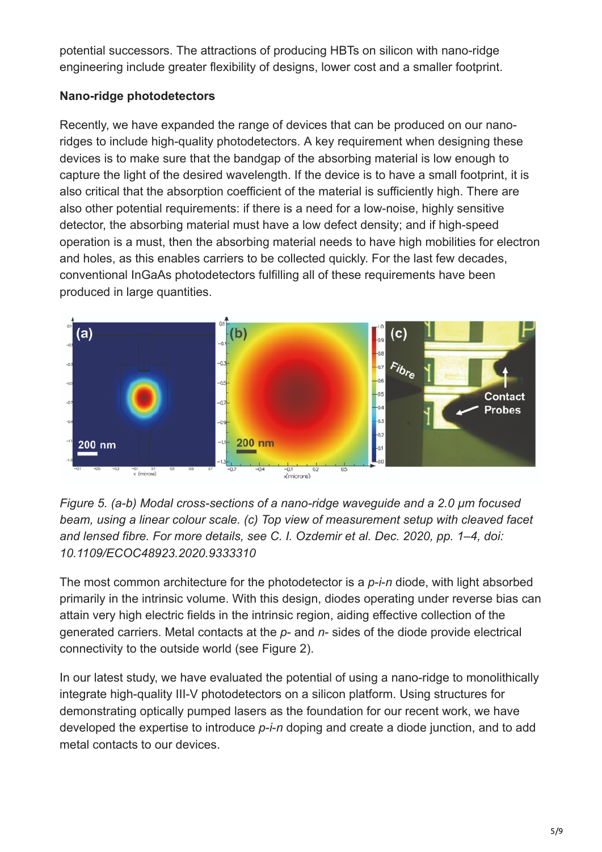potential successors. The attractions of producing HBTs on silicon with nano-ridge engineering include greater flexibility of designs, lower cost and a smaller footprint.

## **Nano-ridge photodetectors**

Recently, we have expanded the range of devices that can be produced on our nanoridges to include high-quality photodetectors. A key requirement when designing these devices is to make sure that the bandgap of the absorbing material is low enough to capture the light of the desired wavelength. If the device is to have a small footprint, it is also critical that the absorption coefficient of the material is sufficiently high. There are also other potential requirements: if there is a need for a low-noise, highly sensitive detector, the absorbing material must have a low defect density; and if high-speed operation is a must, then the absorbing material needs to have high mobilities for electron and holes, as this enables carriers to be collected quickly. For the last few decades, conventional InGaAs photodetectors fulfilling all of these requirements have been produced in large quantities.



*Figure 5. (a-b) Modal cross-sections of a nano-ridge waveguide and a 2.0 µm focused beam, using a linear colour scale. (c) Top view of measurement setup with cleaved facet and lensed fibre. For more details, see C. I. Ozdemir et al. Dec. 2020, pp. 1–4, doi: 10.1109/ECOC48923.2020.9333310*

The most common architecture for the photodetector is a *p*-*i*-*n* diode, with light absorbed primarily in the intrinsic volume. With this design, diodes operating under reverse bias can attain very high electric fields in the intrinsic region, aiding effective collection of the generated carriers. Metal contacts at the *p*- and *n*- sides of the diode provide electrical connectivity to the outside world (see Figure 2).

In our latest study, we have evaluated the potential of using a nano-ridge to monolithically integrate high-quality III-V photodetectors on a silicon platform. Using structures for demonstrating optically pumped lasers as the foundation for our recent work, we have developed the expertise to introduce *p*-*i*-*n* doping and create a diode junction, and to add metal contacts to our devices.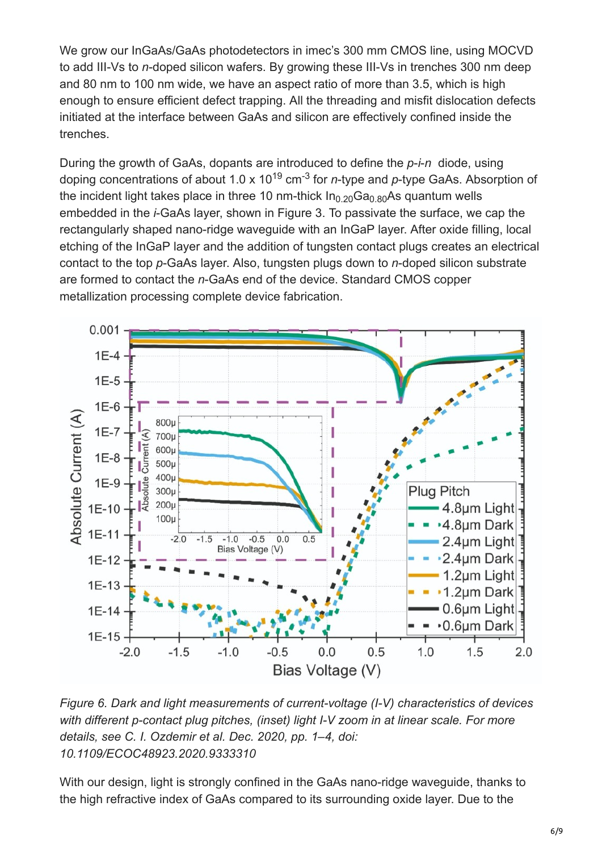We grow our InGaAs/GaAs photodetectors in imec's 300 mm CMOS line, using MOCVD to add III-Vs to *n*-doped silicon wafers. By growing these III-Vs in trenches 300 nm deep and 80 nm to 100 nm wide, we have an aspect ratio of more than 3.5, which is high enough to ensure efficient defect trapping. All the threading and misfit dislocation defects initiated at the interface between GaAs and silicon are effectively confined inside the trenches.

During the growth of GaAs, dopants are introduced to define the *p*-*i*-*n* diode, using doping concentrations of about 1.0 x 10<sup>19</sup> cm<sup>-3</sup> for *n*-type and *p*-type GaAs. Absorption of the incident light takes place in three 10 nm-thick In $_{\rm 0.20}$ Ga $_{\rm 0.80}$ As quantum wells embedded in the *i*-GaAs layer, shown in Figure 3. To passivate the surface, we cap the rectangularly shaped nano-ridge waveguide with an InGaP layer. After oxide filling, local etching of the InGaP layer and the addition of tungsten contact plugs creates an electrical contact to the top *p*-GaAs layer. Also, tungsten plugs down to *n*-doped silicon substrate are formed to contact the *n*-GaAs end of the device. Standard CMOS copper metallization processing complete device fabrication.



*Figure 6. Dark and light measurements of current-voltage (I-V) characteristics of devices with different p-contact plug pitches, (inset) light I-V zoom in at linear scale. For more details, see C. I. Ozdemir et al. Dec. 2020, pp. 1–4, doi: 10.1109/ECOC48923.2020.9333310*

With our design, light is strongly confined in the GaAs nano-ridge waveguide, thanks to the high refractive index of GaAs compared to its surrounding oxide layer. Due to the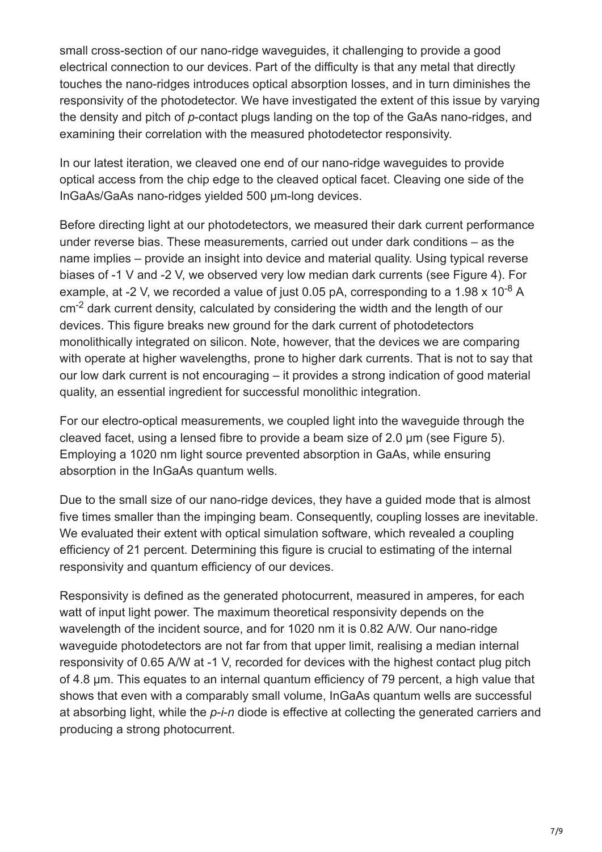small cross-section of our nano-ridge waveguides, it challenging to provide a good electrical connection to our devices. Part of the difficulty is that any metal that directly touches the nano-ridges introduces optical absorption losses, and in turn diminishes the responsivity of the photodetector. We have investigated the extent of this issue by varying the density and pitch of *p*-contact plugs landing on the top of the GaAs nano-ridges, and examining their correlation with the measured photodetector responsivity.

In our latest iteration, we cleaved one end of our nano-ridge waveguides to provide optical access from the chip edge to the cleaved optical facet. Cleaving one side of the InGaAs/GaAs nano-ridges yielded 500 μm-long devices.

Before directing light at our photodetectors, we measured their dark current performance under reverse bias. These measurements, carried out under dark conditions – as the name implies – provide an insight into device and material quality. Using typical reverse biases of -1 V and -2 V, we observed very low median dark currents (see Figure 4). For example, at -2 V, we recorded a value of just 0.05 pA, corresponding to a 1.98 x 10<sup>-8</sup> A  $cm<sup>-2</sup>$  dark current density, calculated by considering the width and the length of our devices. This figure breaks new ground for the dark current of photodetectors monolithically integrated on silicon. Note, however, that the devices we are comparing with operate at higher wavelengths, prone to higher dark currents. That is not to say that our low dark current is not encouraging – it provides a strong indication of good material quality, an essential ingredient for successful monolithic integration.

For our electro-optical measurements, we coupled light into the waveguide through the cleaved facet, using a lensed fibre to provide a beam size of 2.0 μm (see Figure 5). Employing a 1020 nm light source prevented absorption in GaAs, while ensuring absorption in the InGaAs quantum wells.

Due to the small size of our nano-ridge devices, they have a guided mode that is almost five times smaller than the impinging beam. Consequently, coupling losses are inevitable. We evaluated their extent with optical simulation software, which revealed a coupling efficiency of 21 percent. Determining this figure is crucial to estimating of the internal responsivity and quantum efficiency of our devices.

Responsivity is defined as the generated photocurrent, measured in amperes, for each watt of input light power. The maximum theoretical responsivity depends on the wavelength of the incident source, and for 1020 nm it is 0.82 A/W. Our nano-ridge waveguide photodetectors are not far from that upper limit, realising a median internal responsivity of 0.65 A/W at -1 V, recorded for devices with the highest contact plug pitch of 4.8 μm. This equates to an internal quantum efficiency of 79 percent, a high value that shows that even with a comparably small volume, InGaAs quantum wells are successful at absorbing light, while the *p*-*i*-*n* diode is effective at collecting the generated carriers and producing a strong photocurrent.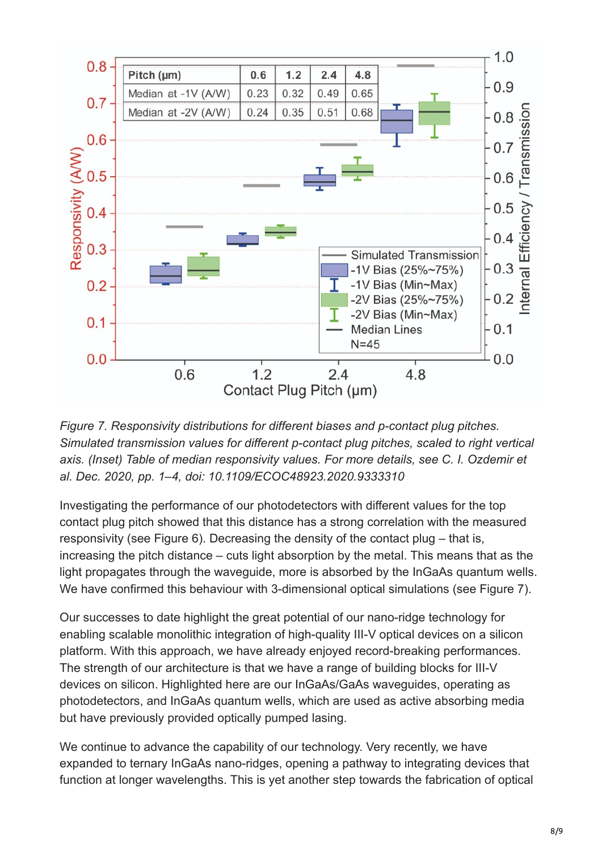

*Figure 7. Responsivity distributions for different biases and p-contact plug pitches. Simulated transmission values for different p-contact plug pitches, scaled to right vertical axis. (Inset) Table of median responsivity values. For more details, see C. I. Ozdemir et al. Dec. 2020, pp. 1–4, doi: 10.1109/ECOC48923.2020.9333310*

Investigating the performance of our photodetectors with different values for the top contact plug pitch showed that this distance has a strong correlation with the measured responsivity (see Figure 6). Decreasing the density of the contact plug – that is, increasing the pitch distance – cuts light absorption by the metal. This means that as the light propagates through the waveguide, more is absorbed by the InGaAs quantum wells. We have confirmed this behaviour with 3-dimensional optical simulations (see Figure 7).

Our successes to date highlight the great potential of our nano-ridge technology for enabling scalable monolithic integration of high-quality III-V optical devices on a silicon platform. With this approach, we have already enjoyed record-breaking performances. The strength of our architecture is that we have a range of building blocks for III-V devices on silicon. Highlighted here are our InGaAs/GaAs waveguides, operating as photodetectors, and InGaAs quantum wells, which are used as active absorbing media but have previously provided optically pumped lasing.

We continue to advance the capability of our technology. Very recently, we have expanded to ternary InGaAs nano-ridges, opening a pathway to integrating devices that function at longer wavelengths. This is yet another step towards the fabrication of optical